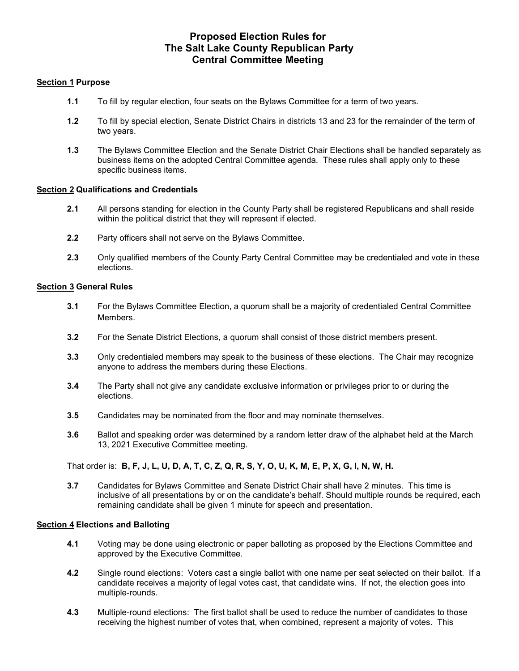# Proposed Election Rules for The Salt Lake County Republican Party Central Committee Meeting

### Section 1 Purpose

- 1.1 To fill by regular election, four seats on the Bylaws Committee for a term of two years.
- 1.2 To fill by special election, Senate District Chairs in districts 13 and 23 for the remainder of the term of two years.
- 1.3 The Bylaws Committee Election and the Senate District Chair Elections shall be handled separately as business items on the adopted Central Committee agenda. These rules shall apply only to these specific business items.

### Section 2 Qualifications and Credentials

- 2.1 All persons standing for election in the County Party shall be registered Republicans and shall reside within the political district that they will represent if elected.
- 2.2 Party officers shall not serve on the Bylaws Committee.
- 2.3 Only qualified members of the County Party Central Committee may be credentialed and vote in these elections.

### Section 3 General Rules

- 3.1 For the Bylaws Committee Election, a quorum shall be a majority of credentialed Central Committee Members.
- 3.2 For the Senate District Elections, a quorum shall consist of those district members present.
- 3.3 Only credentialed members may speak to the business of these elections. The Chair may recognize anyone to address the members during these Elections.
- 3.4 The Party shall not give any candidate exclusive information or privileges prior to or during the elections.
- 3.5 Candidates may be nominated from the floor and may nominate themselves.
- 3.6 Ballot and speaking order was determined by a random letter draw of the alphabet held at the March 13, 2021 Executive Committee meeting.

That order is: B, F, J, L, U, D, A, T, C, Z, Q, R, S, Y, O, U, K, M, E, P, X, G, I, N, W, H.

3.7 Candidates for Bylaws Committee and Senate District Chair shall have 2 minutes. This time is inclusive of all presentations by or on the candidate's behalf. Should multiple rounds be required, each remaining candidate shall be given 1 minute for speech and presentation.

#### Section 4 Elections and Balloting

- 4.1 Voting may be done using electronic or paper balloting as proposed by the Elections Committee and approved by the Executive Committee.
- 4.2 Single round elections: Voters cast a single ballot with one name per seat selected on their ballot. If a candidate receives a majority of legal votes cast, that candidate wins. If not, the election goes into multiple-rounds.
- 4.3 Multiple-round elections: The first ballot shall be used to reduce the number of candidates to those receiving the highest number of votes that, when combined, represent a majority of votes. This